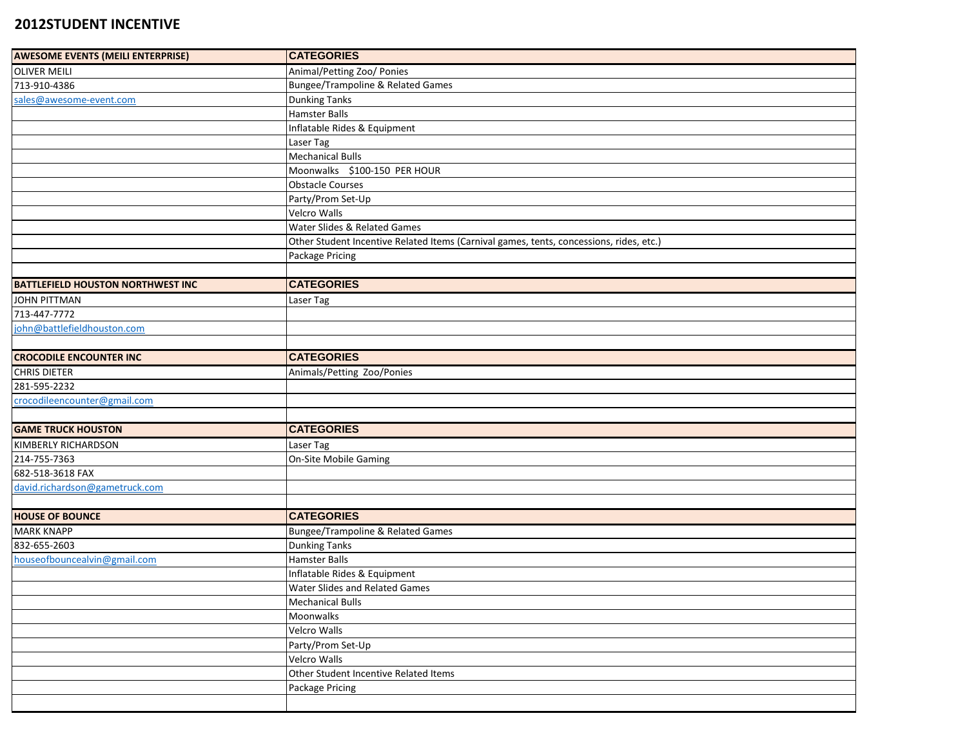## **2012STUDENT INCENTIVE**

| <b>AWESOME EVENTS (MEILI ENTERPRISE)</b> | <b>CATEGORIES</b>                                                                       |
|------------------------------------------|-----------------------------------------------------------------------------------------|
| <b>OLIVER MEILI</b>                      | Animal/Petting Zoo/ Ponies                                                              |
| 713-910-4386                             | Bungee/Trampoline & Related Games                                                       |
| sales@awesome-event.com                  | <b>Dunking Tanks</b>                                                                    |
|                                          | Hamster Balls                                                                           |
|                                          | Inflatable Rides & Equipment                                                            |
|                                          | Laser Tag                                                                               |
|                                          | <b>Mechanical Bulls</b>                                                                 |
|                                          | Moonwalks \$100-150 PER HOUR                                                            |
|                                          | <b>Obstacle Courses</b>                                                                 |
|                                          | Party/Prom Set-Up                                                                       |
|                                          | Velcro Walls                                                                            |
|                                          | Water Slides & Related Games                                                            |
|                                          | Other Student Incentive Related Items (Carnival games, tents, concessions, rides, etc.) |
|                                          | Package Pricing                                                                         |
|                                          |                                                                                         |
| <b>BATTLEFIELD HOUSTON NORTHWEST INC</b> | <b>CATEGORIES</b>                                                                       |
| <b>JOHN PITTMAN</b>                      | Laser Tag                                                                               |
| 713-447-7772                             |                                                                                         |
| john@battlefieldhouston.com              |                                                                                         |
|                                          |                                                                                         |
| <b>CROCODILE ENCOUNTER INC</b>           | <b>CATEGORIES</b>                                                                       |
| <b>CHRIS DIETER</b>                      | Animals/Petting Zoo/Ponies                                                              |
| 281-595-2232                             |                                                                                         |
| crocodileencounter@gmail.com             |                                                                                         |
|                                          |                                                                                         |
| <b>GAME TRUCK HOUSTON</b>                | <b>CATEGORIES</b>                                                                       |
| KIMBERLY RICHARDSON                      | Laser Tag                                                                               |
| 214-755-7363                             | On-Site Mobile Gaming                                                                   |
| 682-518-3618 FAX                         |                                                                                         |
| david.richardson@gametruck.com           |                                                                                         |
|                                          |                                                                                         |
| <b>HOUSE OF BOUNCE</b>                   | <b>CATEGORIES</b>                                                                       |
| <b>MARK KNAPP</b>                        | Bungee/Trampoline & Related Games                                                       |
| 832-655-2603                             | <b>Dunking Tanks</b>                                                                    |
| houseofbouncealvin@gmail.com             | Hamster Balls                                                                           |
|                                          | Inflatable Rides & Equipment                                                            |
|                                          | <b>Water Slides and Related Games</b>                                                   |
|                                          | <b>Mechanical Bulls</b>                                                                 |
|                                          | Moonwalks                                                                               |
|                                          | <b>Velcro Walls</b>                                                                     |
|                                          | Party/Prom Set-Up                                                                       |
|                                          | <b>Velcro Walls</b>                                                                     |
|                                          | Other Student Incentive Related Items                                                   |
|                                          | Package Pricing                                                                         |
|                                          |                                                                                         |
|                                          |                                                                                         |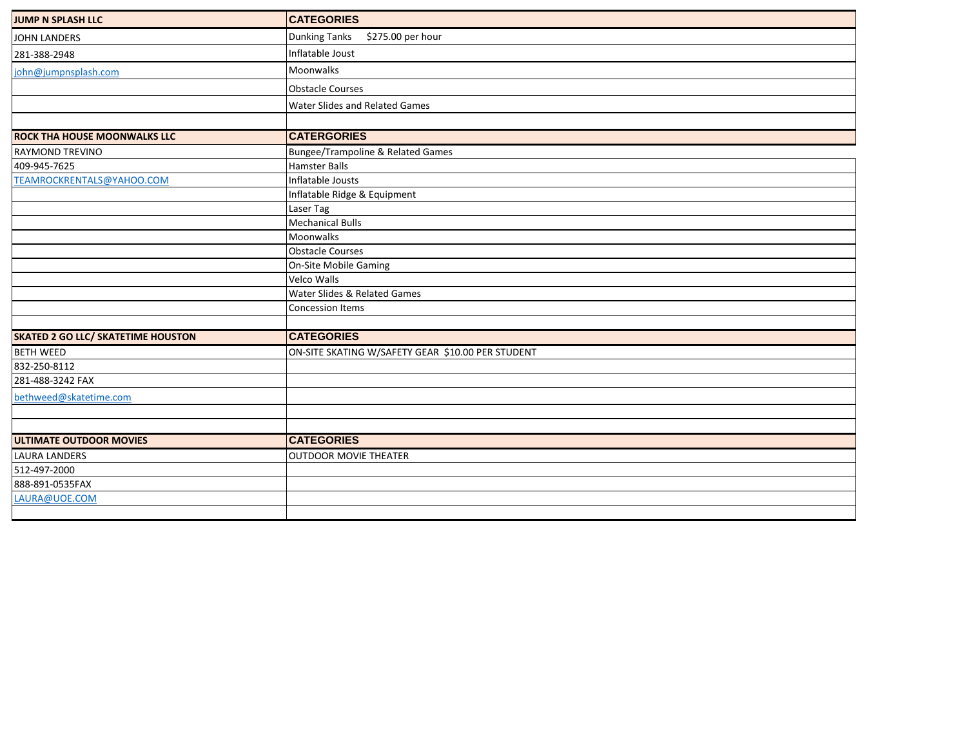| JUMP N SPLASH LLC                         | <b>CATEGORIES</b>                                 |
|-------------------------------------------|---------------------------------------------------|
| <b>JOHN LANDERS</b>                       | <b>Dunking Tanks</b><br>\$275.00 per hour         |
| 281-388-2948                              | Inflatable Joust                                  |
| john@jumpnsplash.com                      | <b>Moonwalks</b>                                  |
|                                           | <b>Obstacle Courses</b>                           |
|                                           | Water Slides and Related Games                    |
|                                           |                                                   |
| <b>ROCK THA HOUSE MOONWALKS LLC</b>       | <b>CATERGORIES</b>                                |
| <b>RAYMOND TREVINO</b>                    | <b>Bungee/Trampoline &amp; Related Games</b>      |
| 409-945-7625                              | <b>Hamster Balls</b>                              |
| TEAMROCKRENTALS@YAHOO.COM                 | Inflatable Jousts                                 |
|                                           | Inflatable Ridge & Equipment                      |
|                                           | Laser Tag                                         |
|                                           | <b>Mechanical Bulls</b>                           |
|                                           | Moonwalks                                         |
|                                           | <b>Obstacle Courses</b>                           |
|                                           | <b>On-Site Mobile Gaming</b>                      |
|                                           | Velco Walls                                       |
|                                           | Water Slides & Related Games                      |
|                                           | Concession Items                                  |
|                                           |                                                   |
| <b>SKATED 2 GO LLC/ SKATETIME HOUSTON</b> | <b>CATEGORIES</b>                                 |
| <b>BETH WEED</b>                          | ON-SITE SKATING W/SAFETY GEAR \$10.00 PER STUDENT |
| 832-250-8112                              |                                                   |
| 281-488-3242 FAX                          |                                                   |
| bethweed@skatetime.com                    |                                                   |
|                                           |                                                   |
|                                           |                                                   |
| <b>ULTIMATE OUTDOOR MOVIES</b>            | <b>CATEGORIES</b>                                 |
| <b>LAURA LANDERS</b>                      | <b>OUTDOOR MOVIE THEATER</b>                      |
| 512-497-2000                              |                                                   |
| 888-891-0535FAX                           |                                                   |
| LAURA@UOE.COM                             |                                                   |
|                                           |                                                   |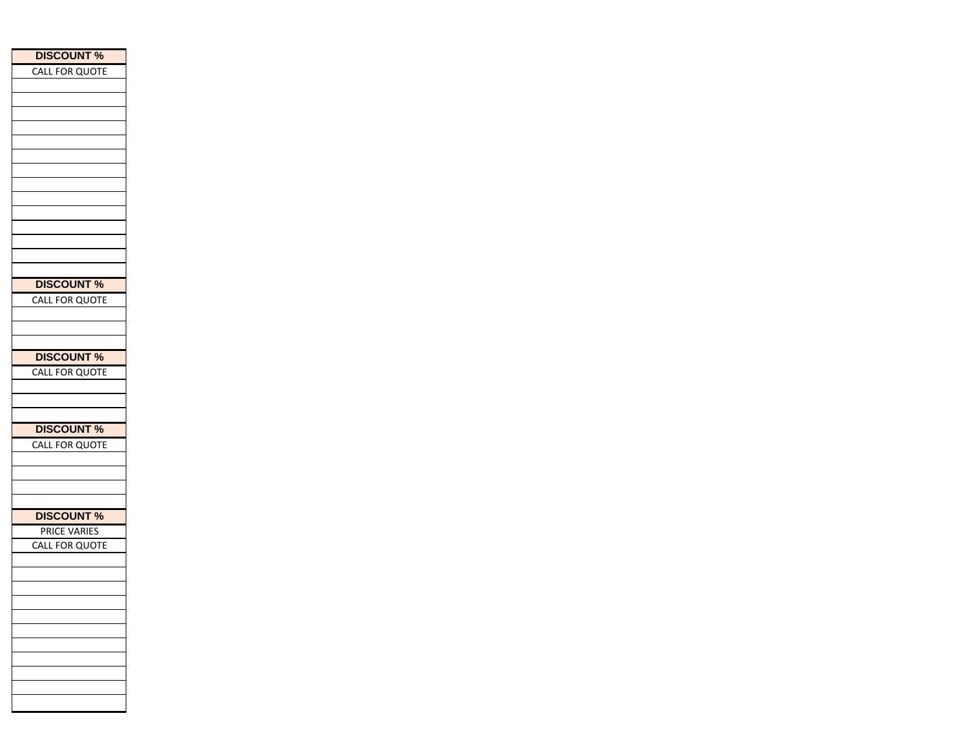| <b>DISCOUNT %</b>     |
|-----------------------|
| CALL FOR QUOTE        |
|                       |
|                       |
|                       |
|                       |
|                       |
|                       |
|                       |
|                       |
|                       |
|                       |
|                       |
|                       |
|                       |
|                       |
| <b>DISCOUNT %</b>     |
| <b>CALL FOR QUOTE</b> |
|                       |
|                       |
|                       |
| <b>DISCOUNT %</b>     |
| CALL FOR QUOTE        |
|                       |
|                       |
|                       |
| <b>DISCOUNT %</b>     |
| CALL FOR QUOTE        |
|                       |
|                       |
|                       |
|                       |
| <b>DISCOUNT %</b>     |
| <b>PRICE VARIES</b>   |
| CALL FOR QUOTE        |
|                       |
|                       |
|                       |
|                       |
|                       |
|                       |
|                       |
|                       |
|                       |
|                       |
|                       |